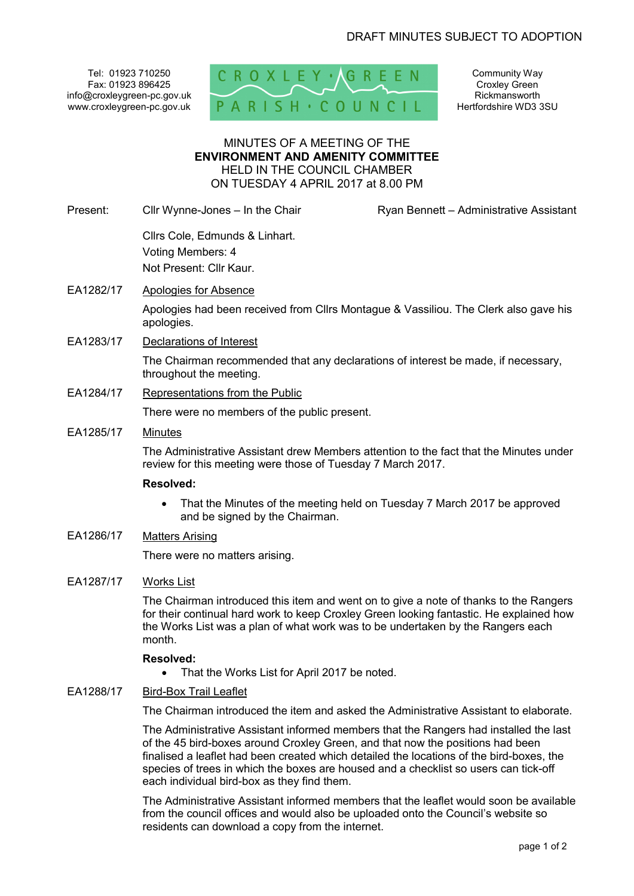Tel: 01923 710250 Fax: 01923 896425 info@croxleygreen-pc.gov.uk www.croxleygreen-pc.gov.uk



Community Way Croxley Green Rickmansworth Hertfordshire WD3 3SU

## MINUTES OF A MEETING OF THE **ENVIRONMENT AND AMENITY COMMITTEE** HELD IN THE COUNCIL CHAMBER ON TUESDAY 4 APRIL 2017 at 8.00 PM

Present: Cllr Wynne-Jones – In the Chair Ryan Bennett – Administrative Assistant

 Cllrs Cole, Edmunds & Linhart. Voting Members: 4 Not Present: Cllr Kaur.

EA1282/17 Apologies for Absence

Apologies had been received from Cllrs Montague & Vassiliou. The Clerk also gave his apologies.

EA1283/17 Declarations of Interest

The Chairman recommended that any declarations of interest be made, if necessary, throughout the meeting.

EA1284/17 Representations from the Public

There were no members of the public present.

EA1285/17 Minutes

The Administrative Assistant drew Members attention to the fact that the Minutes under review for this meeting were those of Tuesday 7 March 2017.

#### **Resolved:**

- That the Minutes of the meeting held on Tuesday 7 March 2017 be approved and be signed by the Chairman.
- EA1286/17 Matters Arising

There were no matters arising.

# EA1287/17 Works List

The Chairman introduced this item and went on to give a note of thanks to the Rangers for their continual hard work to keep Croxley Green looking fantastic. He explained how the Works List was a plan of what work was to be undertaken by the Rangers each month.

#### **Resolved:**

- That the Works List for April 2017 be noted.
- EA1288/17 Bird-Box Trail Leaflet

The Chairman introduced the item and asked the Administrative Assistant to elaborate.

The Administrative Assistant informed members that the Rangers had installed the last of the 45 bird-boxes around Croxley Green, and that now the positions had been finalised a leaflet had been created which detailed the locations of the bird-boxes, the species of trees in which the boxes are housed and a checklist so users can tick-off each individual bird-box as they find them.

The Administrative Assistant informed members that the leaflet would soon be available from the council offices and would also be uploaded onto the Council's website so residents can download a copy from the internet.